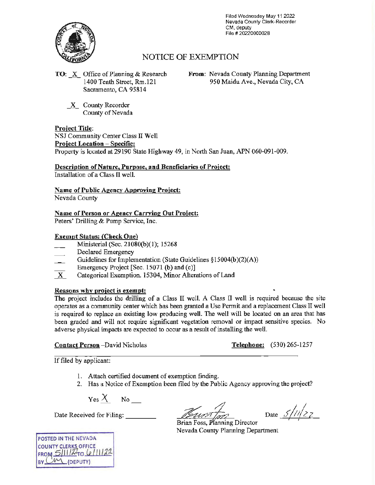

Filed Wednesday May 11 2022 Nevada County Clerk-Recorder CM. deputy File# 20220000028

## NOTICE OF EXEMPTION

**TO:** \_x\_ Office of Planning & Research 1400 Tenth Street, Rm.121 Sacramento, CA 95814

**From:** Nevada County Planning Department 950 Maidu Ave., Nevada City, CA

\_x\_ County Recorder County of Nevada

**Project Title:** 

NSJ Community Center Class II Well **Project Location** - **Specific:**  Property is located at 29190 State Highway 49, in North San Juan, APN 060-091-009.

# **Description of Nature, Purpose, and Beneficiaries of Project:**

Installation of a Class II well.

**Name of Public Agency Approving Project:** 

Nevada County

### **Name of Person or Agency Carrying Out Project:**

Peters' Drilling & Pump Service, Inc.

#### **Exempt Status: (Check One)**

- Ministerial (Sec. 21080(b)(l); 15268
- Declared Emergency
- Guidelines for Implementation (State Guidelines §15004(b)(2)(A))
- Emergency Project [Sec. 15071 (b) and (c)]
- $\overline{X}$  Categorical Exemption. 15304, Minor Alterations of Land

#### **Reasons why project** is **exempt:**

The project includes the drilling of a Class II well. A Class II well is required because the site operates as a community center which has been granted a Use Permit and a replacement Class II well is required to replace an existing low producing well. The well will be located on an area that has been graded and will not require significant vegetation removal or impact sensitive species. No adverse physical impacts are expected to occur as a result of installing the well.

**Contact Person** -David Nicholas **Telephone:** (530) 265-1257

If filed by applicant:

- 1. Attach certified document of exemption finding.
- 2. Has a Notice of Exemption been filed by the Public Agency approving the project?

 $Yes \ X$  No  $\_\_$ 

Date Received for Filing:

Date  $5/1/2z$ 

Brian Foss, Planning Director Nevada County Planning Department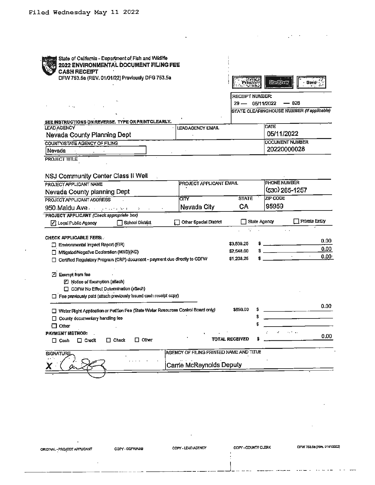| State of California - Department of Fish and Wildlife<br>2022 ENVIRONMENTAL DOCUMENT FILING FEE |                                         |                       |                             |                                            |
|-------------------------------------------------------------------------------------------------|-----------------------------------------|-----------------------|-----------------------------|--------------------------------------------|
| <b>CASH RECEIPT</b>                                                                             |                                         |                       |                             |                                            |
| DFW 753.5a (REV. 01/01/22) Previously DFG 753.5a                                                |                                         | Print                 | Sulfan                      | · Save                                     |
|                                                                                                 |                                         | RECEIPT NUMBER:       |                             |                                            |
|                                                                                                 |                                         | $29 -$                | — 028<br>05/11/2022         |                                            |
|                                                                                                 |                                         |                       |                             | STATE CLEARINGHOUSE NUMBER (If applicable) |
| SEE INSTRUCTIONS ON REVERSE. TYPE OR PRINT CLEARLY.                                             |                                         |                       |                             |                                            |
| LEAD AGENCY                                                                                     | <b>LEADAGENCY EMAIL</b>                 |                       | DATE                        |                                            |
| Nevada County Planning Dept                                                                     |                                         |                       | 05/11/2022                  |                                            |
| COUNTY/STATE AGENCY OF FILING                                                                   |                                         |                       | <b>DOCUMENT NUMBER</b>      |                                            |
| Nevada                                                                                          |                                         |                       | 20220000028                 |                                            |
| PROJECT TITLE                                                                                   |                                         |                       |                             |                                            |
|                                                                                                 |                                         |                       |                             |                                            |
| NSJ Community Center Class II Well                                                              |                                         |                       |                             |                                            |
| PROJECT APPLICANT NAME                                                                          | <b>PROJECT APPLICANT EMAIL</b>          |                       | PHONE NUMBER                |                                            |
| Nevada County planning Dept                                                                     |                                         |                       | (530) 265-1257              |                                            |
| PROJECT APPLICANT ADDRESS                                                                       | CITY                                    | <b>STATE</b>          | ZIP CODE                    |                                            |
| 950 Maidu Ave.                                                                                  | Nevada City                             | СA                    | 95959                       |                                            |
| PROJECT APPLICANT (Check appropriate box)                                                       |                                         |                       |                             |                                            |
| School District<br>7 Local Public Agency                                                        | Other Special District                  | State Agency          |                             | <b>Private Entity</b>                      |
|                                                                                                 |                                         |                       |                             |                                            |
| <b>CHECK APPLICABLE FEES:</b><br>Environmental Impact Report (EIR)                              |                                         | \$3,539.25            |                             | 0.00                                       |
| Millgated/Negative Declaration (MND)(ND)                                                        |                                         | \$2,548.00            | <u> 1999 - Jan Jan Jawa</u> | 0.00                                       |
| \$1,203.25<br>Certified Regulatory Program (CRP) document - payment due directly to CDFW        |                                         |                       | $\mathcal{L}$               | 0.00 <sub>1</sub>                          |
|                                                                                                 |                                         |                       |                             |                                            |
| 2 Exempt from fee                                                                               |                                         |                       |                             |                                            |
| Motice of Exemption (attach)                                                                    |                                         |                       |                             |                                            |
| CDFW No Effect Determination (attach)                                                           |                                         |                       |                             |                                            |
| Fee previously paid (attach previously issued cash receipt copy)                                |                                         |                       |                             |                                            |
|                                                                                                 |                                         |                       |                             | 0.00                                       |
| Water Right Application or Petition Fee (State Water Resources Control Board only)              |                                         | \$850.00              |                             |                                            |
| $\Box$ County documentary handling fee                                                          |                                         | \$                    |                             |                                            |
| $\Box$ Other                                                                                    |                                         |                       |                             |                                            |
| <b>PAYMENT METHOD:</b><br>$\Box$ Other<br>□ Check<br>$\Box$ Cash<br>$\Box$ Credit               |                                         | <b>TOTAL RECEIVED</b> |                             | 0.00                                       |
|                                                                                                 |                                         |                       |                             |                                            |
| SIGNATURE                                                                                       | AGENCY OF FILING PRINTED NAME AND TITLE |                       |                             |                                            |
| Carrie McReynolds Deputy                                                                        |                                         |                       |                             |                                            |
|                                                                                                 |                                         |                       |                             |                                            |
|                                                                                                 |                                         |                       |                             |                                            |

ORIGINAL-PROJECT APPLICANT COPY-CDFWABB

 $\mathcal{A}$ 

 $\bar{\star}$ 

 $\bar{1}$ 

COPY - COUNTY CLERK

المدعيدعات البا

 $\ddot{\phantom{0}}$ t

 $\overline{\phantom{a}}$ 

-- جاڭ

 $\mathcal{L}^{\pm}$ 

 $\mathbb{R}^{N_{\mathrm{max}}}\times$ 

 $\sim$   $-$ 

 $\cdots - \cdots - \cdots$ 

 $\cdot$